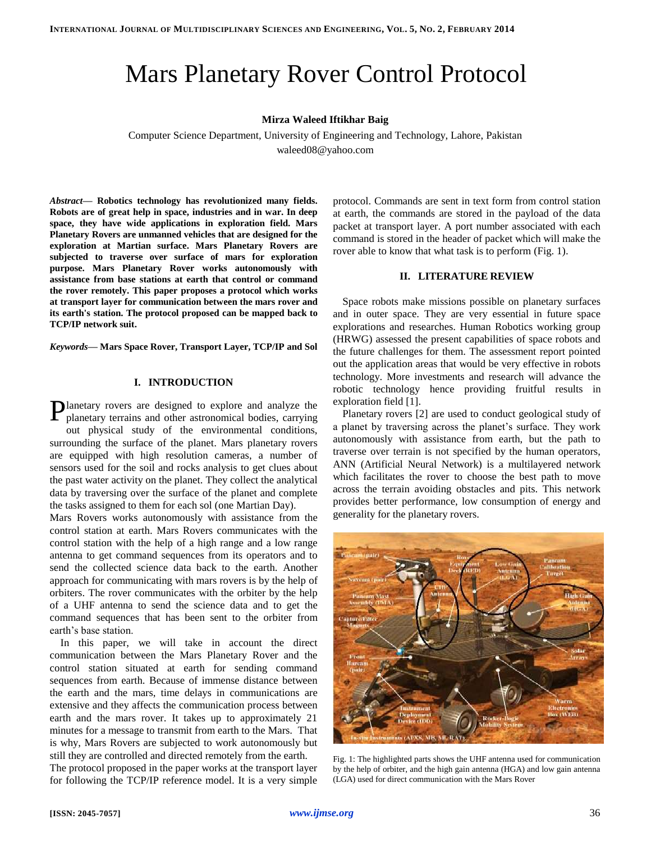# Mars Planetary Rover Control Protocol

#### **Mirza Waleed Iftikhar Baig**

Computer Science Department, University of Engineering and Technology, Lahore, Pakistan

waleed08@yahoo.com

*Abstract***— Robotics technology has revolutionized many fields. Robots are of great help in space, industries and in war. In deep space, they have wide applications in exploration field. Mars Planetary Rovers are unmanned vehicles that are designed for the exploration at Martian surface. Mars Planetary Rovers are subjected to traverse over surface of mars for exploration purpose. Mars Planetary Rover works autonomously with assistance from base stations at earth that control or command the rover remotely. This paper proposes a protocol which works at transport layer for communication between the mars rover and its earth's station. The protocol proposed can be mapped back to TCP/IP network suit.**

*Keywords***— Mars Space Rover, Transport Layer, TCP/IP and Sol**

## **I. INTRODUCTION**

lanetary rovers are designed to explore and analyze the Planetary rovers are designed to explore and analyze the planetary terrains and other astronomical bodies, carrying out physical study of the environmental conditions,

surrounding the surface of the planet. Mars planetary rovers are equipped with high resolution cameras, a number of sensors used for the soil and rocks analysis to get clues about the past water activity on the planet. They collect the analytical data by traversing over the surface of the planet and complete the tasks assigned to them for each sol (one Martian Day).

Mars Rovers works autonomously with assistance from the control station at earth. Mars Rovers communicates with the control station with the help of a high range and a low range antenna to get command sequences from its operators and to send the collected science data back to the earth. Another approach for communicating with mars rovers is by the help of orbiters. The rover communicates with the orbiter by the help of a UHF antenna to send the science data and to get the command sequences that has been sent to the orbiter from earth's base station.

In this paper, we will take in account the direct communication between the Mars Planetary Rover and the control station situated at earth for sending command sequences from earth. Because of immense distance between the earth and the mars, time delays in communications are extensive and they affects the communication process between earth and the mars rover. It takes up to approximately 21 minutes for a message to transmit from earth to the Mars. That is why, Mars Rovers are subjected to work autonomously but still they are controlled and directed remotely from the earth.

The protocol proposed in the paper works at the transport layer for following the TCP/IP reference model. It is a very simple

protocol. Commands are sent in text form from control station at earth, the commands are stored in the payload of the data packet at transport layer. A port number associated with each command is stored in the header of packet which will make the rover able to know that what task is to perform (Fig. 1).

#### **II. LITERATURE REVIEW**

Space robots make missions possible on planetary surfaces and in outer space. They are very essential in future space explorations and researches. Human Robotics working group (HRWG) assessed the present capabilities of space robots and the future challenges for them. The assessment report pointed out the application areas that would be very effective in robots technology. More investments and research will advance the robotic technology hence providing fruitful results in exploration field [1].

Planetary rovers [2] are used to conduct geological study of a planet by traversing across the planet's surface. They work autonomously with assistance from earth, but the path to traverse over terrain is not specified by the human operators, ANN (Artificial Neural Network) is a multilayered network which facilitates the rover to choose the best path to move across the terrain avoiding obstacles and pits. This network provides better performance, low consumption of energy and generality for the planetary rovers.



Fig. 1: The highlighted parts shows the UHF antenna used for communication by the help of orbiter, and the high gain antenna (HGA) and low gain antenna (LGA) used for direct communication with the Mars Rover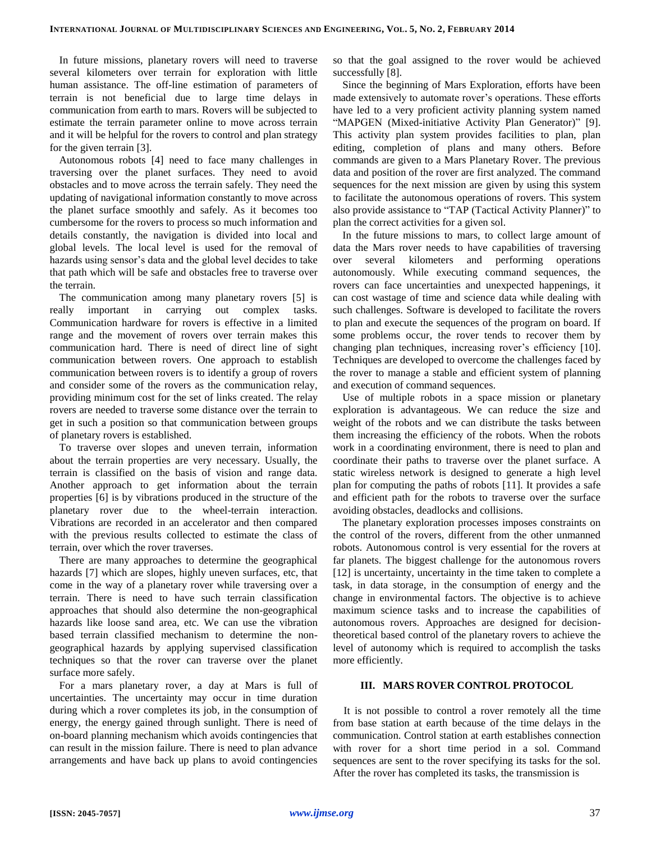In future missions, planetary rovers will need to traverse several kilometers over terrain for exploration with little human assistance. The off-line estimation of parameters of terrain is not beneficial due to large time delays in communication from earth to mars. Rovers will be subjected to estimate the terrain parameter online to move across terrain and it will be helpful for the rovers to control and plan strategy for the given terrain [3].

Autonomous robots [4] need to face many challenges in traversing over the planet surfaces. They need to avoid obstacles and to move across the terrain safely. They need the updating of navigational information constantly to move across the planet surface smoothly and safely. As it becomes too cumbersome for the rovers to process so much information and details constantly, the navigation is divided into local and global levels. The local level is used for the removal of hazards using sensor's data and the global level decides to take that path which will be safe and obstacles free to traverse over the terrain.

The communication among many planetary rovers [5] is really important in carrying out complex tasks. Communication hardware for rovers is effective in a limited range and the movement of rovers over terrain makes this communication hard. There is need of direct line of sight communication between rovers. One approach to establish communication between rovers is to identify a group of rovers and consider some of the rovers as the communication relay, providing minimum cost for the set of links created. The relay rovers are needed to traverse some distance over the terrain to get in such a position so that communication between groups of planetary rovers is established.

To traverse over slopes and uneven terrain, information about the terrain properties are very necessary. Usually, the terrain is classified on the basis of vision and range data. Another approach to get information about the terrain properties [6] is by vibrations produced in the structure of the planetary rover due to the wheel-terrain interaction. Vibrations are recorded in an accelerator and then compared with the previous results collected to estimate the class of terrain, over which the rover traverses.

There are many approaches to determine the geographical hazards [7] which are slopes, highly uneven surfaces, etc, that come in the way of a planetary rover while traversing over a terrain. There is need to have such terrain classification approaches that should also determine the non-geographical hazards like loose sand area, etc. We can use the vibration based terrain classified mechanism to determine the nongeographical hazards by applying supervised classification techniques so that the rover can traverse over the planet surface more safely.

For a mars planetary rover, a day at Mars is full of uncertainties. The uncertainty may occur in time duration during which a rover completes its job, in the consumption of energy, the energy gained through sunlight. There is need of on-board planning mechanism which avoids contingencies that can result in the mission failure. There is need to plan advance arrangements and have back up plans to avoid contingencies so that the goal assigned to the rover would be achieved successfully [8].

Since the beginning of Mars Exploration, efforts have been made extensively to automate rover's operations. These efforts have led to a very proficient activity planning system named "MAPGEN (Mixed-initiative Activity Plan Generator)" [9]. This activity plan system provides facilities to plan, plan editing, completion of plans and many others. Before commands are given to a Mars Planetary Rover. The previous data and position of the rover are first analyzed. The command sequences for the next mission are given by using this system to facilitate the autonomous operations of rovers. This system also provide assistance to "TAP (Tactical Activity Planner)" to plan the correct activities for a given sol.

In the future missions to mars, to collect large amount of data the Mars rover needs to have capabilities of traversing over several kilometers and performing operations autonomously. While executing command sequences, the rovers can face uncertainties and unexpected happenings, it can cost wastage of time and science data while dealing with such challenges. Software is developed to facilitate the rovers to plan and execute the sequences of the program on board. If some problems occur, the rover tends to recover them by changing plan techniques, increasing rover's efficiency [10]. Techniques are developed to overcome the challenges faced by the rover to manage a stable and efficient system of planning and execution of command sequences.

Use of multiple robots in a space mission or planetary exploration is advantageous. We can reduce the size and weight of the robots and we can distribute the tasks between them increasing the efficiency of the robots. When the robots work in a coordinating environment, there is need to plan and coordinate their paths to traverse over the planet surface. A static wireless network is designed to generate a high level plan for computing the paths of robots [11]. It provides a safe and efficient path for the robots to traverse over the surface avoiding obstacles, deadlocks and collisions.

The planetary exploration processes imposes constraints on the control of the rovers, different from the other unmanned robots. Autonomous control is very essential for the rovers at far planets. The biggest challenge for the autonomous rovers [12] is uncertainty, uncertainty in the time taken to complete a task, in data storage, in the consumption of energy and the change in environmental factors. The objective is to achieve maximum science tasks and to increase the capabilities of autonomous rovers. Approaches are designed for decisiontheoretical based control of the planetary rovers to achieve the level of autonomy which is required to accomplish the tasks more efficiently.

## **III. MARS ROVER CONTROL PROTOCOL**

It is not possible to control a rover remotely all the time from base station at earth because of the time delays in the communication. Control station at earth establishes connection with rover for a short time period in a sol. Command sequences are sent to the rover specifying its tasks for the sol. After the rover has completed its tasks, the transmission is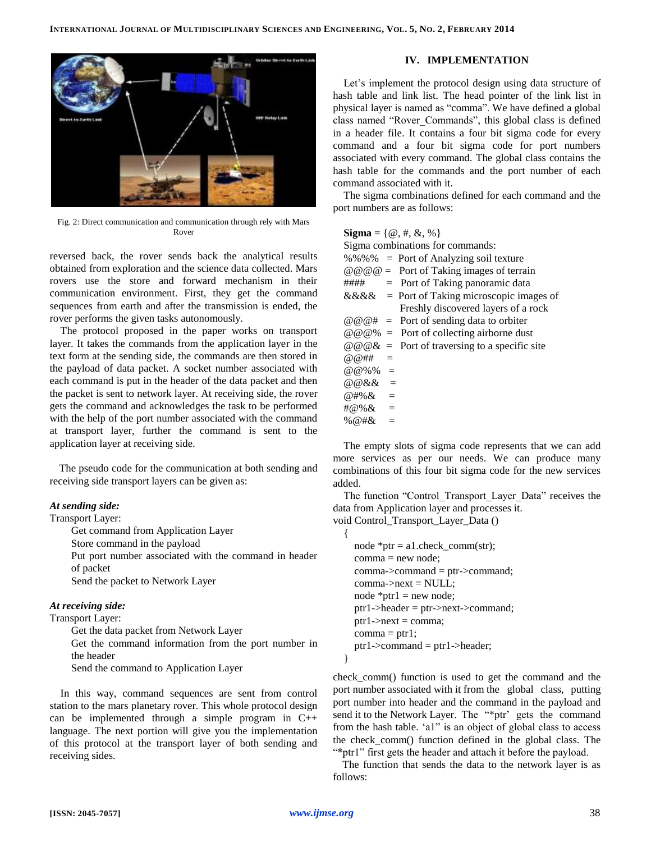

Fig. 2: Direct communication and communication through rely with Mars Rover

reversed back, the rover sends back the analytical results obtained from exploration and the science data collected. Mars rovers use the store and forward mechanism in their communication environment. First, they get the command sequences from earth and after the transmission is ended, the rover performs the given tasks autonomously.

The protocol proposed in the paper works on transport layer. It takes the commands from the application layer in the text form at the sending side, the commands are then stored in the payload of data packet. A socket number associated with each command is put in the header of the data packet and then the packet is sent to network layer. At receiving side, the rover gets the command and acknowledges the task to be performed with the help of the port number associated with the command at transport layer, further the command is sent to the application layer at receiving side.

The pseudo code for the communication at both sending and receiving side transport layers can be given as:

### *At sending side:*

#### Transport Layer:

Get command from Application Layer

Store command in the payload

Put port number associated with the command in header of packet

Send the packet to Network Layer

#### *At receiving side:*

Transport Layer:

Get the data packet from Network Layer Get the command information from the port number in the header Send the command to Application Layer

In this way, command sequences are sent from control station to the mars planetary rover. This whole protocol design can be implemented through a simple program in  $C++$ language. The next portion will give you the implementation of this protocol at the transport layer of both sending and receiving sides.

## **IV. IMPLEMENTATION**

Let's implement the protocol design using data structure of hash table and link list. The head pointer of the link list in physical layer is named as "comma". We have defined a global class named "Rover\_Commands", this global class is defined in a header file. It contains a four bit sigma code for every command and a four bit sigma code for port numbers associated with every command. The global class contains the hash table for the commands and the port number of each command associated with it.

The sigma combinations defined for each command and the port numbers are as follows:

| <b>Sigma</b> = { $\omega$ , #, &, %} |     |                                                            |
|--------------------------------------|-----|------------------------------------------------------------|
| Sigma combinations for commands:     |     |                                                            |
|                                      |     | $\%$ %% = Port of Analyzing soil texture                   |
|                                      |     | $\omega \omega \omega =$ Port of Taking images of terrain  |
| ####                                 |     | $=$ Port of Taking panoramic data                          |
|                                      |     | $&&&\&&=$ Port of Taking microscopic images of             |
|                                      |     | Freshly discovered layers of a rock                        |
|                                      |     | $\omega \omega \omega$ # = Port of sending data to orbiter |
|                                      |     | $@@@% =$ Port of collecting airborne dust                  |
|                                      |     | $@@@@{\&}$ = Port of traversing to a specific site         |
| @ @##                                | $=$ |                                                            |
| $@ @ 96\% =$                         |     |                                                            |
| $@@&&=$                              |     |                                                            |
| $@#% & =$                            |     |                                                            |
| $\#@%&=$                             |     |                                                            |
| % $@#& =$                            |     |                                                            |

The empty slots of sigma code represents that we can add more services as per our needs. We can produce many combinations of this four bit sigma code for the new services added.

The function "Control\_Transport\_Layer\_Data" receives the data from Application layer and processes it.

void Control\_Transport\_Layer\_Data () {

node  $*ptr = a1.check comm(str);$ comma = new node; comma->command = ptr->command;  $comma\rightarrow next = NULL;$ node  $*ptr1 = new node;$ ptr1->header = ptr->next->command;  $ptr1$ ->next = comma;  $comma = ptr1;$ ptr1->command = ptr1->header;

}

check\_comm() function is used to get the command and the port number associated with it from the global class, putting port number into header and the command in the payload and send it to the Network Layer. The "\*ptr' gets the command from the hash table. 'a1" is an object of global class to access the check\_comm() function defined in the global class. The "\*ptr1" first gets the header and attach it before the payload.

The function that sends the data to the network layer is as follows: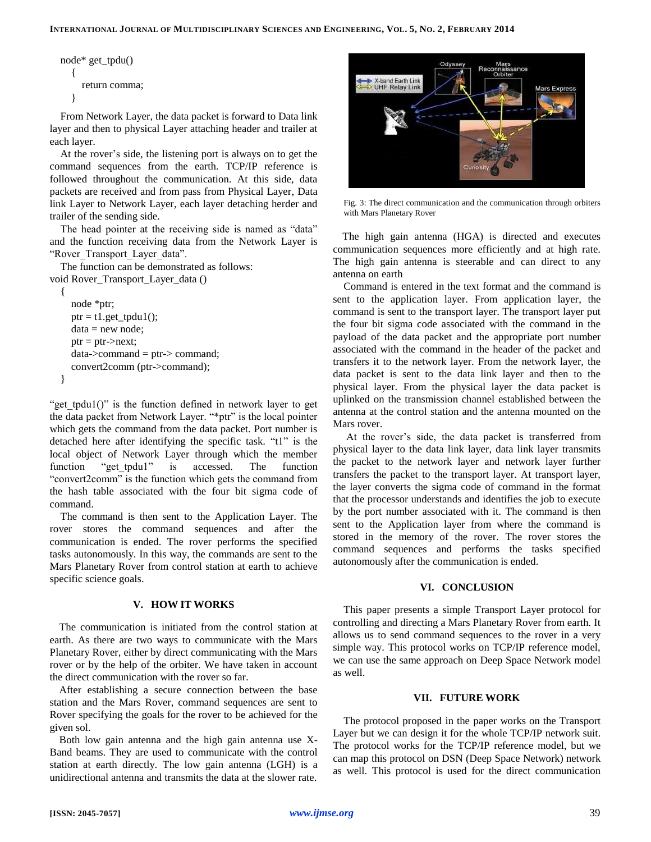```
node* get_tpdu()
  {
     return comma;
  }
```
From Network Layer, the data packet is forward to Data link layer and then to physical Layer attaching header and trailer at each layer.

At the rover's side, the listening port is always on to get the command sequences from the earth. TCP/IP reference is followed throughout the communication. At this side, data packets are received and from pass from Physical Layer, Data link Layer to Network Layer, each layer detaching herder and trailer of the sending side.

The head pointer at the receiving side is named as "data" and the function receiving data from the Network Layer is "Rover Transport Layer data".

The function can be demonstrated as follows: void Rover\_Transport\_Layer\_data ()

```
{
  node *ptr;
  ptr = t1.get_tptul();
  data = new node;ptr = ptr->next;
  data->command = ptr-> command;
  convert2comm (ptr->command);
}
```
"get tpdu1()" is the function defined in network layer to get the data packet from Network Layer. "\*ptr" is the local pointer which gets the command from the data packet. Port number is detached here after identifying the specific task. "t1" is the local object of Network Layer through which the member function "get tpdu1" is accessed. The function "convert2comm" is the function which gets the command from the hash table associated with the four bit sigma code of command.

The command is then sent to the Application Layer. The rover stores the command sequences and after the communication is ended. The rover performs the specified tasks autonomously. In this way, the commands are sent to the Mars Planetary Rover from control station at earth to achieve specific science goals.

## **V. HOW IT WORKS**

The communication is initiated from the control station at earth. As there are two ways to communicate with the Mars Planetary Rover, either by direct communicating with the Mars rover or by the help of the orbiter. We have taken in account the direct communication with the rover so far.

After establishing a secure connection between the base station and the Mars Rover, command sequences are sent to Rover specifying the goals for the rover to be achieved for the given sol.

Both low gain antenna and the high gain antenna use X-Band beams. They are used to communicate with the control station at earth directly. The low gain antenna (LGH) is a unidirectional antenna and transmits the data at the slower rate.



Fig. 3: The direct communication and the communication through orbiters with Mars Planetary Rover

The high gain antenna (HGA) is directed and executes communication sequences more efficiently and at high rate. The high gain antenna is steerable and can direct to any antenna on earth

Command is entered in the text format and the command is sent to the application layer. From application layer, the command is sent to the transport layer. The transport layer put the four bit sigma code associated with the command in the payload of the data packet and the appropriate port number associated with the command in the header of the packet and transfers it to the network layer. From the network layer, the data packet is sent to the data link layer and then to the physical layer. From the physical layer the data packet is uplinked on the transmission channel established between the antenna at the control station and the antenna mounted on the Mars rover.

At the rover's side, the data packet is transferred from physical layer to the data link layer, data link layer transmits the packet to the network layer and network layer further transfers the packet to the transport layer. At transport layer, the layer converts the sigma code of command in the format that the processor understands and identifies the job to execute by the port number associated with it. The command is then sent to the Application layer from where the command is stored in the memory of the rover. The rover stores the command sequences and performs the tasks specified autonomously after the communication is ended.

#### **VI. CONCLUSION**

This paper presents a simple Transport Layer protocol for controlling and directing a Mars Planetary Rover from earth. It allows us to send command sequences to the rover in a very simple way. This protocol works on TCP/IP reference model, we can use the same approach on Deep Space Network model as well.

#### **VII. FUTURE WORK**

The protocol proposed in the paper works on the Transport Layer but we can design it for the whole TCP/IP network suit. The protocol works for the TCP/IP reference model, but we can map this protocol on DSN (Deep Space Network) network as well. This protocol is used for the direct communication